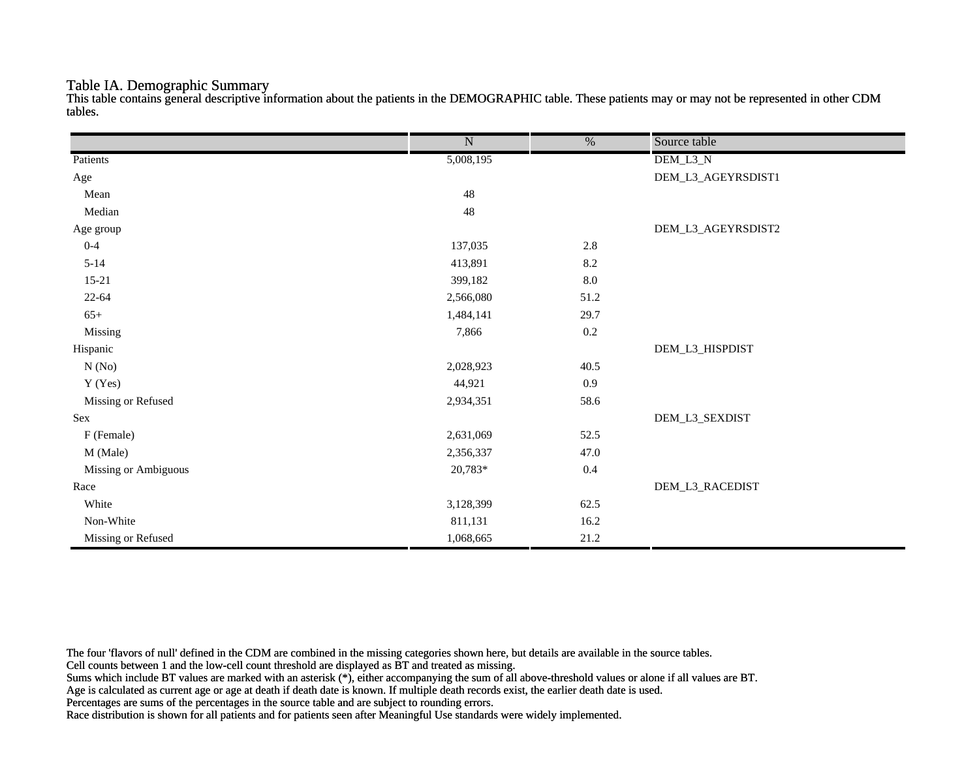#### Table IA. Demographic Summary

This table contains general descriptive information about the patients in the DEMOGRAPHIC table. These patients may or may not be represented in other CDM tables.

|                      | $\overline{\text{N}}$ | $\overline{\frac{0}{0}}$ | Source table       |
|----------------------|-----------------------|--------------------------|--------------------|
| Patients             | 5,008,195             |                          | DEM_L3_N           |
| Age                  |                       |                          | DEM_L3_AGEYRSDIST1 |
| Mean                 | $48\,$                |                          |                    |
| Median               | 48                    |                          |                    |
| Age group            |                       |                          | DEM_L3_AGEYRSDIST2 |
| $0 - 4$              | 137,035               | 2.8                      |                    |
| $5 - 14$             | 413,891               | 8.2                      |                    |
| $15-21$              | 399,182               | $8.0\,$                  |                    |
| $22 - 64$            | 2,566,080             | 51.2                     |                    |
| $65+$                | 1,484,141             | 29.7                     |                    |
| Missing              | 7,866                 | $0.2\,$                  |                    |
| Hispanic             |                       |                          | DEM_L3_HISPDIST    |
| N(No)                | 2,028,923             | 40.5                     |                    |
| Y (Yes)              | 44,921                | $0.9\,$                  |                    |
| Missing or Refused   | 2,934,351             | 58.6                     |                    |
| Sex                  |                       |                          | DEM_L3_SEXDIST     |
| F (Female)           | 2,631,069             | 52.5                     |                    |
| M (Male)             | 2,356,337             | 47.0                     |                    |
| Missing or Ambiguous | 20,783*               | $0.4\,$                  |                    |
| Race                 |                       |                          | DEM_L3_RACEDIST    |
| White                | 3,128,399             | 62.5                     |                    |
| Non-White            | 811,131               | 16.2                     |                    |
| Missing or Refused   | 1,068,665             | $21.2\,$                 |                    |

The four 'flavors of null' defined in the CDM are combined in the missing categories shown here, but details are available in the source tables.

Cell counts between 1 and the low-cell count threshold are displayed as BT and treated as missing.

Sums which include BT values are marked with an asterisk (\*), either accompanying the sum of all above-threshold values or alone if all values are BT.

Age is calculated as current age or age at death if death date is known. If multiple death records exist, the earlier death date is used.

Percentages are sums of the percentages in the source table and are subject to rounding errors.

Race distribution is shown for all patients and for patients seen after Meaningful Use standards were widely implemented.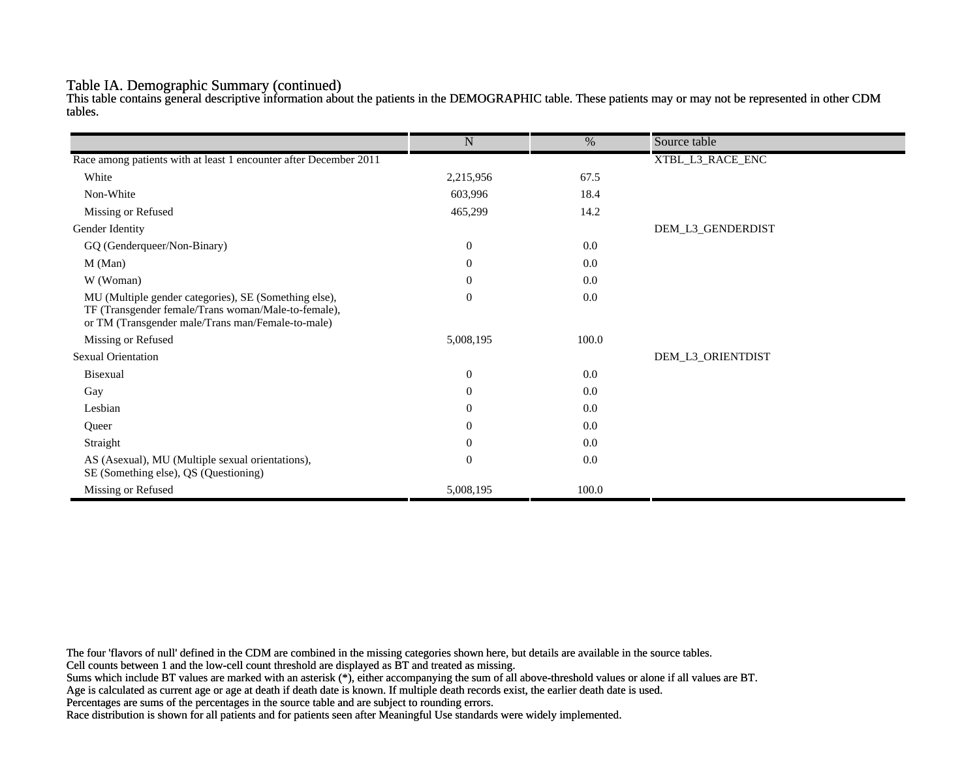#### Table IA. Demographic Summary (continued)

This table contains general descriptive information about the patients in the DEMOGRAPHIC table. These patients may or may not be represented in other CDM tables.

|                                                                                                                                                                   | $\mathbf N$      | $\%$  | Source table      |
|-------------------------------------------------------------------------------------------------------------------------------------------------------------------|------------------|-------|-------------------|
|                                                                                                                                                                   |                  |       |                   |
| Race among patients with at least 1 encounter after December 2011                                                                                                 |                  |       | XTBL_L3_RACE_ENC  |
| White                                                                                                                                                             | 2,215,956        | 67.5  |                   |
| Non-White                                                                                                                                                         | 603,996          | 18.4  |                   |
| Missing or Refused                                                                                                                                                | 465,299          | 14.2  |                   |
| Gender Identity                                                                                                                                                   |                  |       | DEM_L3_GENDERDIST |
| GQ (Genderqueer/Non-Binary)                                                                                                                                       | $\overline{0}$   | 0.0   |                   |
| M (Man)                                                                                                                                                           | $\theta$         | 0.0   |                   |
| W (Woman)                                                                                                                                                         | $\boldsymbol{0}$ | 0.0   |                   |
| MU (Multiple gender categories), SE (Something else),<br>TF (Transgender female/Trans woman/Male-to-female),<br>or TM (Transgender male/Trans man/Female-to-male) | $\mathbf{0}$     | 0.0   |                   |
| Missing or Refused                                                                                                                                                | 5,008,195        | 100.0 |                   |
| <b>Sexual Orientation</b>                                                                                                                                         |                  |       | DEM_L3_ORIENTDIST |
| <b>Bisexual</b>                                                                                                                                                   | $\mathbf{0}$     | 0.0   |                   |
| Gay                                                                                                                                                               | $\overline{0}$   | 0.0   |                   |
| Lesbian                                                                                                                                                           | $\overline{0}$   | 0.0   |                   |
| Queer                                                                                                                                                             | $\overline{0}$   | 0.0   |                   |
| Straight                                                                                                                                                          | $\theta$         | 0.0   |                   |
| AS (Asexual), MU (Multiple sexual orientations),<br>SE (Something else), QS (Questioning)                                                                         | $\mathbf{0}$     | 0.0   |                   |
| Missing or Refused                                                                                                                                                | 5,008,195        | 100.0 |                   |

The four 'flavors of null' defined in the CDM are combined in the missing categories shown here, but details are available in the source tables.

Cell counts between 1 and the low-cell count threshold are displayed as BT and treated as missing.

Sums which include BT values are marked with an asterisk (\*), either accompanying the sum of all above-threshold values or alone if all values are BT.

Age is calculated as current age or age at death if death date is known. If multiple death records exist, the earlier death date is used.

Percentages are sums of the percentages in the source table and are subject to rounding errors.

Race distribution is shown for all patients and for patients seen after Meaningful Use standards were widely implemented.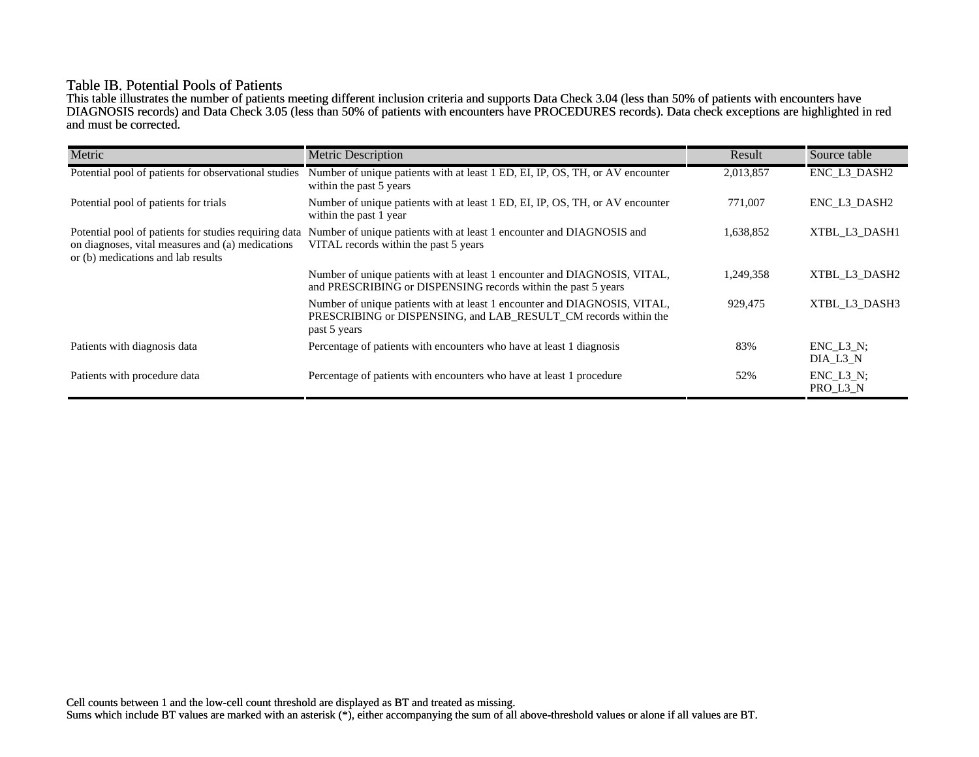## Table IB. Potential Pools of Patients

This table illustrates the number of patients meeting different inclusion criteria and supports Data Check 3.04 (less than 50% of patients with encounters have DIAGNOSIS records) and Data Check 3.05 (less than 50% of patients with encounters have PROCEDURES records). Data check exceptions are highlighted in red and must be corrected.

| Metric                                                                                                                                          | <b>Metric Description</b>                                                                                                                                    | Result    | Source table                 |
|-------------------------------------------------------------------------------------------------------------------------------------------------|--------------------------------------------------------------------------------------------------------------------------------------------------------------|-----------|------------------------------|
| Potential pool of patients for observational studies                                                                                            | Number of unique patients with at least 1 ED, EI, IP, OS, TH, or AV encounter<br>within the past 5 years                                                     | 2,013,857 | ENC_L3_DASH2                 |
| Potential pool of patients for trials                                                                                                           | Number of unique patients with at least 1 ED, EI, IP, OS, TH, or AV encounter<br>within the past 1 year                                                      | 771,007   | ENC L3 DASH2                 |
| Potential pool of patients for studies requiring data<br>on diagnoses, vital measures and (a) medications<br>or (b) medications and lab results | Number of unique patients with at least 1 encounter and DIAGNOSIS and<br>VITAL records within the past 5 years                                               | 1,638,852 | XTBL L3 DASH1                |
|                                                                                                                                                 | Number of unique patients with at least 1 encounter and DIAGNOSIS, VITAL,<br>and PRESCRIBING or DISPENSING records within the past 5 years                   | 1,249,358 | XTBL L3 DASH2                |
|                                                                                                                                                 | Number of unique patients with at least 1 encounter and DIAGNOSIS, VITAL,<br>PRESCRIBING or DISPENSING, and LAB RESULT CM records within the<br>past 5 years | 929,475   | XTBL L3 DASH3                |
| Patients with diagnosis data                                                                                                                    | Percentage of patients with encounters who have at least 1 diagnosis                                                                                         | 83%       | $ENC$ $L3$ $N$ ;<br>DIA L3 N |
| Patients with procedure data                                                                                                                    | Percentage of patients with encounters who have at least 1 procedure                                                                                         | 52%       | $ENC_L3_N;$<br>PRO_L3_N      |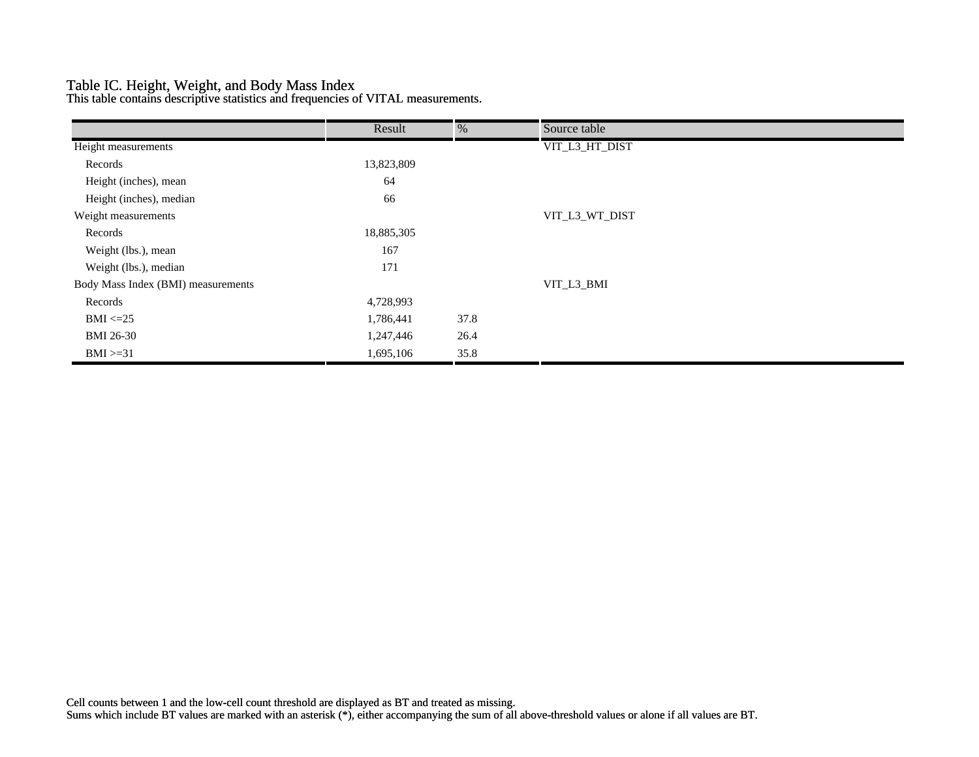## Table IC. Height, Weight, and Body Mass Index

This table contains descriptive statistics and frequencies of VITAL measurements.

|                                    | Result     | %    | Source table   |  |
|------------------------------------|------------|------|----------------|--|
| Height measurements                |            |      | VIT_L3_HT_DIST |  |
| Records                            | 13,823,809 |      |                |  |
| Height (inches), mean              | 64         |      |                |  |
| Height (inches), median            | 66         |      |                |  |
| Weight measurements                |            |      | VIT_L3_WT_DIST |  |
| Records                            | 18,885,305 |      |                |  |
| Weight (lbs.), mean                | 167        |      |                |  |
| Weight (lbs.), median              | 171        |      |                |  |
| Body Mass Index (BMI) measurements |            |      | VIT_L3_BMI     |  |
| Records                            | 4,728,993  |      |                |  |
| $BMI \leq=25$                      | 1,786,441  | 37.8 |                |  |
| <b>BMI 26-30</b>                   | 1,247,446  | 26.4 |                |  |
| $BMI \geq 31$                      | 1,695,106  | 35.8 |                |  |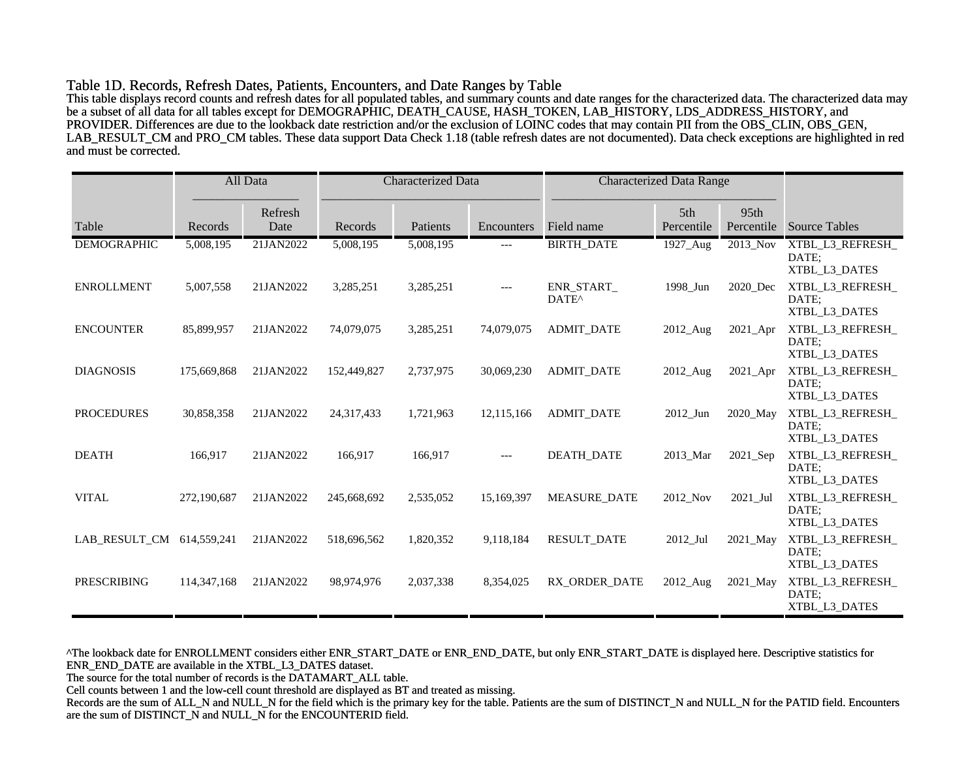#### Table 1D. Records, Refresh Dates, Patients, Encounters, and Date Ranges by Table

This table displays record counts and refresh dates for all populated tables, and summary counts and date ranges for the characterized data. The characterized data may be a subset of all data for all tables except for DEMOGRAPHIC, DEATH\_CAUSE, HASH\_TOKEN, LAB\_HISTORY, LDS\_ADDRESS\_HISTORY, and PROVIDER. Differences are due to the lookback date restriction and/or the exclusion of LOINC codes that may contain PII from the OBS\_CLIN, OBS\_GEN, LAB\_RESULT\_CM and PRO\_CM tables. These data support Data Check 1.18 (table refresh dates are not documented). Data check exceptions are highlighted in red and must be corrected.

|                    |               | All Data        | <b>Characterized Data</b> |           | <b>Characterized Data Range</b> |                                 |                   |                    |                                            |
|--------------------|---------------|-----------------|---------------------------|-----------|---------------------------------|---------------------------------|-------------------|--------------------|--------------------------------------------|
| Table              | Records       | Refresh<br>Date | Records                   | Patients  | Encounters                      | Field name                      | 5th<br>Percentile | 95th<br>Percentile | <b>Source Tables</b>                       |
| <b>DEMOGRAPHIC</b> | 5,008,195     | 21JAN2022       | 5,008,195                 | 5,008,195 | ---                             | <b>BIRTH_DATE</b>               | 1927_Aug          | 2013_Nov           | XTBL_L3_REFRESH_<br>DATE;<br>XTBL L3 DATES |
| <b>ENROLLMENT</b>  | 5,007,558     | 21JAN2022       | 3,285,251                 | 3,285,251 | $---$                           | ENR_START_<br>DATE <sup>^</sup> | 1998_Jun          | 2020_Dec           | XTBL_L3_REFRESH_<br>DATE:<br>XTBL_L3_DATES |
| <b>ENCOUNTER</b>   | 85,899,957    | 21JAN2022       | 74,079,075                | 3,285,251 | 74,079,075                      | <b>ADMIT DATE</b>               | 2012_Aug          | 2021_Apr           | XTBL_L3_REFRESH_<br>DATE:<br>XTBL_L3_DATES |
| <b>DIAGNOSIS</b>   | 175,669,868   | 21JAN2022       | 152,449,827               | 2,737,975 | 30,069,230                      | <b>ADMIT_DATE</b>               | 2012_Aug          | $2021$ Apr         | XTBL_L3_REFRESH_<br>DATE;<br>XTBL_L3_DATES |
| <b>PROCEDURES</b>  | 30,858,358    | 21JAN2022       | 24,317,433                | 1,721,963 | 12,115,166                      | <b>ADMIT DATE</b>               | 2012 Jun          | 2020 May           | XTBL L3 REFRESH<br>DATE:<br>XTBL_L3_DATES  |
| <b>DEATH</b>       | 166,917       | 21JAN2022       | 166,917                   | 166,917   | $---$                           | <b>DEATH DATE</b>               | 2013 Mar          | 2021_Sep           | XTBL_L3_REFRESH_<br>DATE:<br>XTBL_L3_DATES |
| <b>VITAL</b>       | 272,190,687   | 21JAN2022       | 245,668,692               | 2,535,052 | 15,169,397                      | <b>MEASURE DATE</b>             | 2012_Nov          | 2021_Jul           | XTBL_L3_REFRESH_<br>DATE:<br>XTBL_L3_DATES |
| LAB_RESULT_CM      | 614,559,241   | 21JAN2022       | 518,696,562               | 1,820,352 | 9,118,184                       | <b>RESULT_DATE</b>              | 2012_Jul          | 2021_May           | XTBL_L3_REFRESH_<br>DATE:<br>XTBL_L3_DATES |
| <b>PRESCRIBING</b> | 114, 347, 168 | 21JAN2022       | 98,974,976                | 2,037,338 | 8,354,025                       | RX ORDER DATE                   | 2012 Aug          | 2021 May           | XTBL_L3_REFRESH_<br>DATE:<br>XTBL_L3_DATES |

^The lookback date for ENROLLMENT considers either ENR\_START\_DATE or ENR\_END\_DATE, but only ENR\_START\_DATE is displayed here. Descriptive statistics for ENR\_END\_DATE are available in the XTBL\_L3\_DATES dataset.

The source for the total number of records is the DATAMART\_ALL table.

Cell counts between 1 and the low-cell count threshold are displayed as BT and treated as missing.

Records are the sum of ALL\_N and NULL\_N for the field which is the primary key for the table. Patients are the sum of DISTINCT\_N and NULL\_N for the PATID field. Encounters are the sum of DISTINCT\_N and NULL\_N for the ENCOUNTERID field.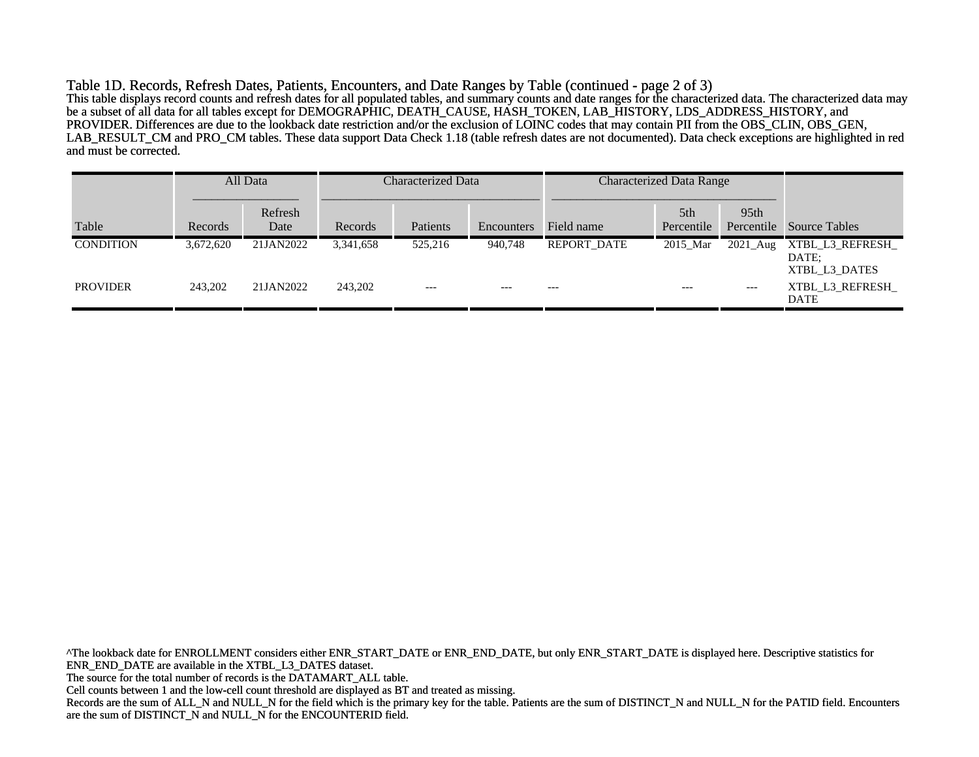Table 1D. Records, Refresh Dates, Patients, Encounters, and Date Ranges by Table (continued - page 2 of 3) This table displays record counts and refresh dates for all populated tables, and summary counts and date ranges for the characterized data. The characterized data may be a subset of all data for all tables except for DEMOGRAPHIC, DEATH\_CAUSE, HASH\_TOKEN, LAB\_HISTORY, LDS\_ADDRESS\_HISTORY, and PROVIDER. Differences are due to the lookback date restriction and/or the exclusion of LOINC codes that may contain PII from the OBS\_CLIN, OBS\_GEN, LAB\_RESULT\_CM and PRO\_CM tables. These data support Data Check 1.18 (table refresh dates are not documented). Data check exceptions are highlighted in red and must be corrected.

|                  |           | All Data        | Characterized Data |          | <b>Characterized Data Range</b> |             |                               |                  |                                            |
|------------------|-----------|-----------------|--------------------|----------|---------------------------------|-------------|-------------------------------|------------------|--------------------------------------------|
| Table            | Records   | Refresh<br>Date | Records            | Patients | Encounters                      | Field name  | 5 <sup>th</sup><br>Percentile | 95 <sub>th</sub> | Percentile Source Tables                   |
| <b>CONDITION</b> | 3,672,620 | 21JAN2022       | 3,341,658          | 525,216  | 940,748                         | REPORT DATE | 2015 Mar                      | 2021_Aug         | XTBL_L3_REFRESH_<br>DATE:<br>XTBL L3 DATES |
| <b>PROVIDER</b>  | 243,202   | 21JAN2022       | 243,202            | $---$    | $---$                           | $---$       | $---$                         | $---$            | XTBL L3 REFRESH<br><b>DATE</b>             |

^The lookback date for ENROLLMENT considers either ENR\_START\_DATE or ENR\_END\_DATE, but only ENR\_START\_DATE is displayed here. Descriptive statistics for ENR\_END\_DATE are available in the XTBL\_L3\_DATES dataset. The source for the total number of records is the DATAMART\_ALL table. Cell counts between 1 and the low-cell count threshold are displayed as BT and treated as missing. Records are the sum of ALL\_N and NULL\_N for the field which is the primary key for the table. Patients are the sum of DISTINCT\_N and NULL\_N for the PATID field. Encounters are the sum of DISTINCT\_N and NULL\_N for the ENCOUNTERID field.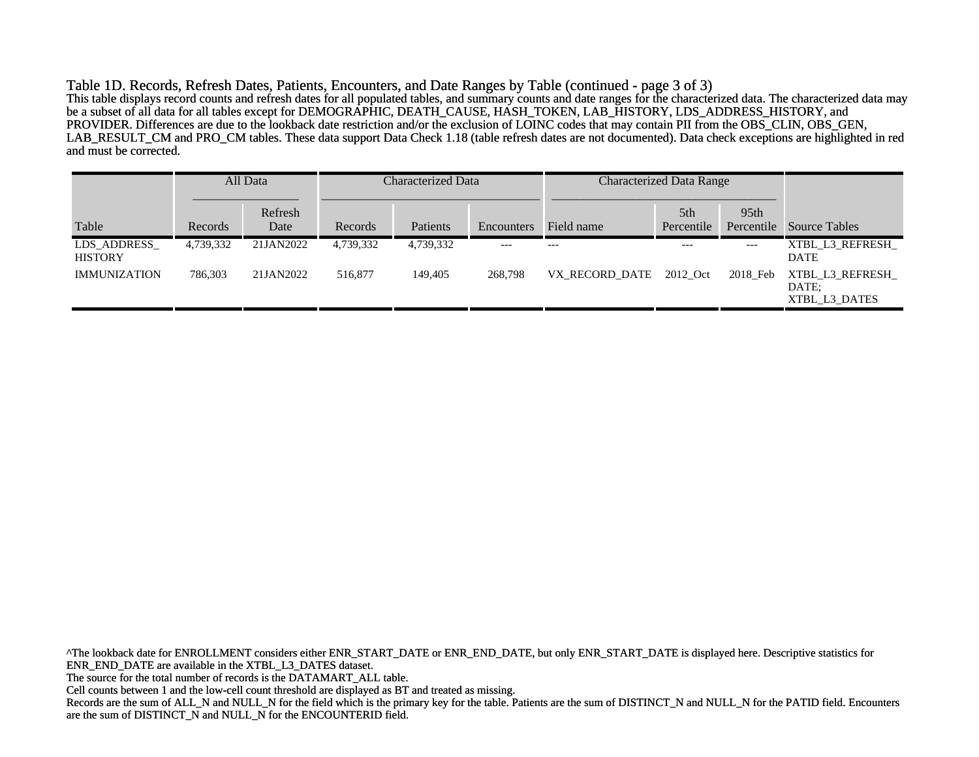Table 1D. Records, Refresh Dates, Patients, Encounters, and Date Ranges by Table (continued - page 3 of 3) This table displays record counts and refresh dates for all populated tables, and summary counts and date ranges for the characterized data. The characterized data may be a subset of all data for all tables except for DEMOGRAPHIC, DEATH\_CAUSE, HASH\_TOKEN, LAB\_HISTORY, LDS\_ADDRESS\_HISTORY, and PROVIDER. Differences are due to the lookback date restriction and/or the exclusion of LOINC codes that may contain PII from the OBS\_CLIN, OBS\_GEN, LAB\_RESULT\_CM and PRO\_CM tables. These data support Data Check 1.18 (table refresh dates are not documented). Data check exceptions are highlighted in red and must be corrected.

|                               |           | All Data        | Characterized Data |           |            | <b>Characterized Data Range</b> |                               |                    |                                            |
|-------------------------------|-----------|-----------------|--------------------|-----------|------------|---------------------------------|-------------------------------|--------------------|--------------------------------------------|
| Table                         | Records   | Refresh<br>Date | Records            | Patients  | Encounters | Field name                      | 5 <sup>th</sup><br>Percentile | 95th<br>Percentile | <b>Source Tables</b>                       |
| LDS ADDRESS<br><b>HISTORY</b> | 4,739,332 | 21JAN2022       | 4,739,332          | 4,739,332 | $---$      | $---$                           | $---$                         | $---$              | XTBL L3 REFRESH<br><b>DATE</b>             |
| <b>IMMUNIZATION</b>           | 786.303   | 21JAN2022       | 516,877            | 149,405   | 268,798    | VX RECORD DATE                  | 2012 Oct                      | 2018 Feb           | XTBL_L3_REFRESH_<br>DATE:<br>XTBL L3 DATES |

^The lookback date for ENROLLMENT considers either ENR\_START\_DATE or ENR\_END\_DATE, but only ENR\_START\_DATE is displayed here. Descriptive statistics for ENR\_END\_DATE are available in the XTBL\_L3\_DATES dataset. The source for the total number of records is the DATAMART\_ALL table. Cell counts between 1 and the low-cell count threshold are displayed as BT and treated as missing. Records are the sum of ALL\_N and NULL\_N for the field which is the primary key for the table. Patients are the sum of DISTINCT\_N and NULL\_N for the PATID field. Encounters are the sum of DISTINCT\_N and NULL\_N for the ENCOUNTERID field.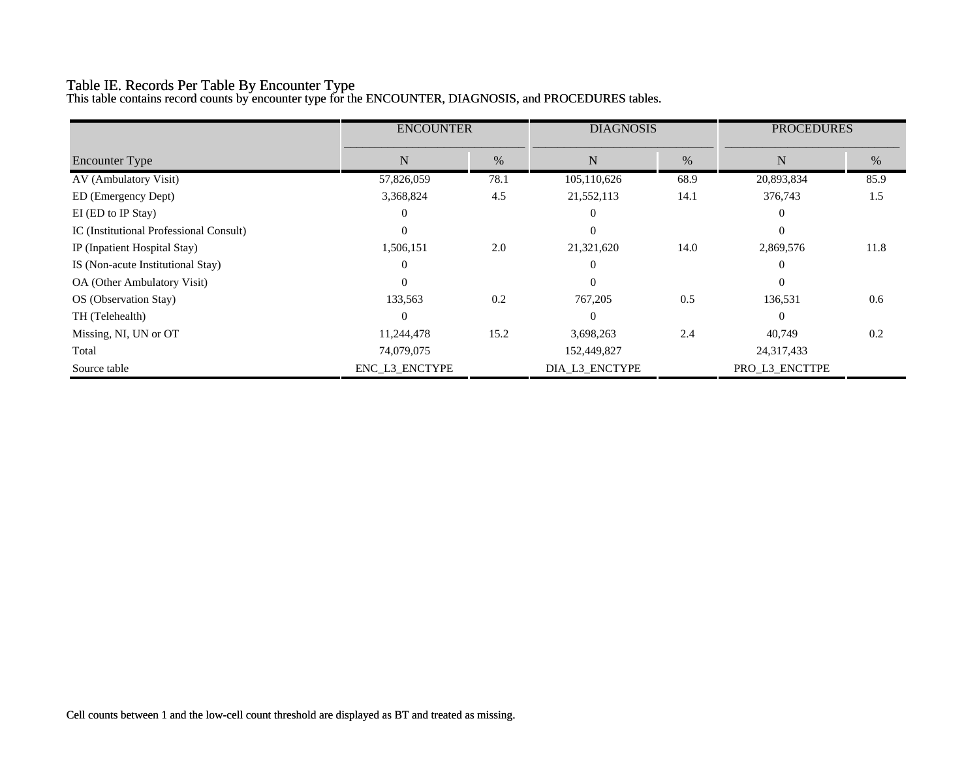# Table IE. Records Per Table By Encounter Type

This table contains record counts by encounter type for the ENCOUNTER, DIAGNOSIS, and PROCEDURES tables.

|                                         | <b>ENCOUNTER</b> |      | <b>DIAGNOSIS</b> |      | <b>PROCEDURES</b> |      |
|-----------------------------------------|------------------|------|------------------|------|-------------------|------|
| <b>Encounter Type</b>                   | N                | $\%$ | N                | %    | N                 | %    |
| AV (Ambulatory Visit)                   | 57,826,059       | 78.1 | 105,110,626      | 68.9 | 20,893,834        | 85.9 |
| ED (Emergency Dept)                     | 3,368,824        | 4.5  | 21,552,113       | 14.1 | 376,743           | 1.5  |
| EI (ED to IP Stay)                      | 0                |      |                  |      | $\theta$          |      |
| IC (Institutional Professional Consult) | $\Omega$         |      |                  |      | $\theta$          |      |
| IP (Inpatient Hospital Stay)            | 1,506,151        | 2.0  | 21,321,620       | 14.0 | 2,869,576         | 11.8 |
| IS (Non-acute Institutional Stay)       | $\Omega$         |      |                  |      | $\Omega$          |      |
| OA (Other Ambulatory Visit)             | $\Omega$         |      |                  |      | $\theta$          |      |
| OS (Observation Stay)                   | 133,563          | 0.2  | 767,205          | 0.5  | 136,531           | 0.6  |
| TH (Telehealth)                         | 0                |      |                  |      | $\theta$          |      |
| Missing, NI, UN or OT                   | 11,244,478       | 15.2 | 3,698,263        | 2.4  | 40,749            | 0.2  |
| Total                                   | 74,079,075       |      | 152,449,827      |      | 24,317,433        |      |
| Source table                            | ENC_L3_ENCTYPE   |      | DIA_L3_ENCTYPE   |      | PRO_L3_ENCTTPE    |      |